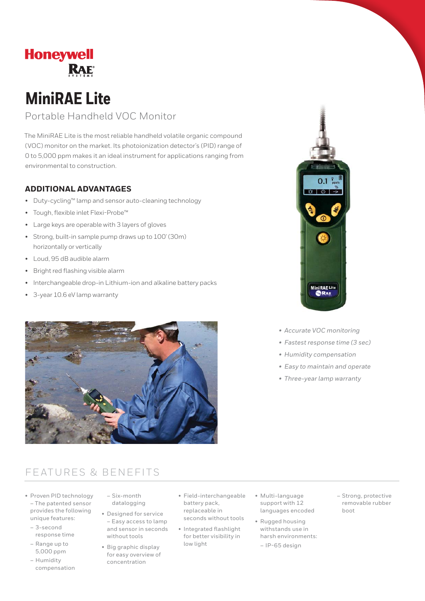# **Honeywell RAE**

# **MiniRAE Lite**

### Portable Handheld VOC Monitor

The MiniRAE Lite is the most reliable handheld volatile organic compound (VOC) monitor on the market. Its photoionization detector's (PID) range of 0 to 5,000 ppm makes it an ideal instrument for applications ranging from environmental to construction.

### **ADDITIONAL ADVANTAGES**

- Duty-cycling™ lamp and sensor auto-cleaning technology
- Tough, flexible inlet Flexi-Probe™
- Large keys are operable with 3 layers of gloves
- Strong, built-in sample pump draws up to 100' (30m) horizontally or vertically
- Loud, 95 dB audible alarm
- Bright red flashing visible alarm
- Interchangeable drop-in Lithium-ion and alkaline battery packs
- 3-year 10.6 eV lamp warranty





- *Accurate VOC monitoring*
- *Fastest response time (3 sec)*
- *Humidity compensation*
- *Easy to maintain and operate*
- *Three-year lamp warranty*

### FEATURES & BENEFITS

- Proven PID technology – The patented sensor provides the following unique features:
	- 3-second response time
	- Range up to 5,000 ppm
	- Humidity compensation
- Six-month datalogging
- Designed for service – Easy access to lamp and sensor in seconds without tools
- Big graphic display for easy overview of concentration
- Field-interchangeable battery pack, replaceable in seconds without tools
- Integrated flashlight for better visibility in low light
- Multi-language support with 12 languages encoded
- Rugged housing withstands use in harsh environments: – IP-65 design
- Strong, protective removable rubber boot